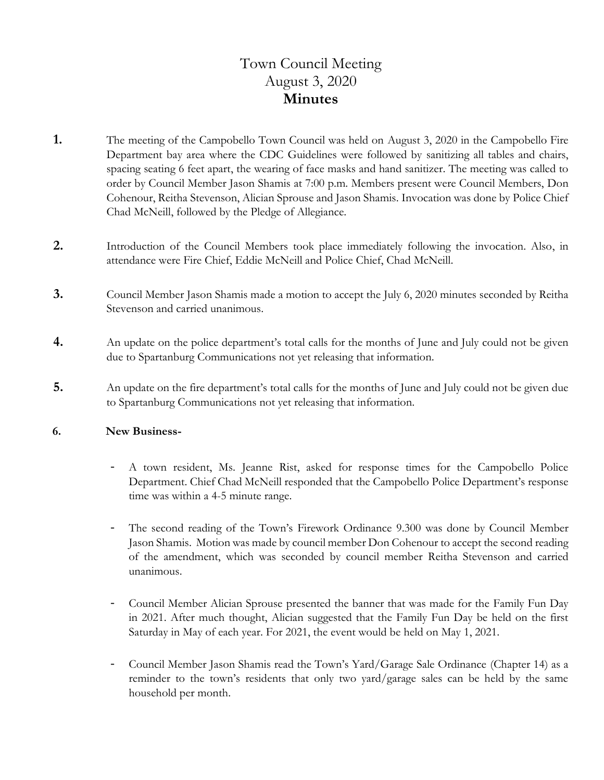# Town Council Meeting August 3, 2020 **Minutes**

- **1.** The meeting of the Campobello Town Council was held on August 3, 2020 in the Campobello Fire Department bay area where the CDC Guidelines were followed by sanitizing all tables and chairs, spacing seating 6 feet apart, the wearing of face masks and hand sanitizer. The meeting was called to order by Council Member Jason Shamis at 7:00 p.m. Members present were Council Members, Don Cohenour, Reitha Stevenson, Alician Sprouse and Jason Shamis. Invocation was done by Police Chief Chad McNeill, followed by the Pledge of Allegiance.
- **2.** Introduction of the Council Members took place immediately following the invocation. Also, in attendance were Fire Chief, Eddie McNeill and Police Chief, Chad McNeill.
- **3.** Council Member Jason Shamis made a motion to accept the July 6, 2020 minutes seconded by Reitha Stevenson and carried unanimous.
- **4.** An update on the police department's total calls for the months of June and July could not be given due to Spartanburg Communications not yet releasing that information.
- **5.** An update on the fire department's total calls for the months of June and July could not be given due to Spartanburg Communications not yet releasing that information.

#### **6. New Business-**

- A town resident, Ms. Jeanne Rist, asked for response times for the Campobello Police Department. Chief Chad McNeill responded that the Campobello Police Department's response time was within a 4-5 minute range.
- The second reading of the Town's Firework Ordinance 9.300 was done by Council Member Jason Shamis. Motion was made by council member Don Cohenour to accept the second reading of the amendment, which was seconded by council member Reitha Stevenson and carried unanimous.
- Council Member Alician Sprouse presented the banner that was made for the Family Fun Day in 2021. After much thought, Alician suggested that the Family Fun Day be held on the first Saturday in May of each year. For 2021, the event would be held on May 1, 2021.
- Council Member Jason Shamis read the Town's Yard/Garage Sale Ordinance (Chapter 14) as a reminder to the town's residents that only two yard/garage sales can be held by the same household per month.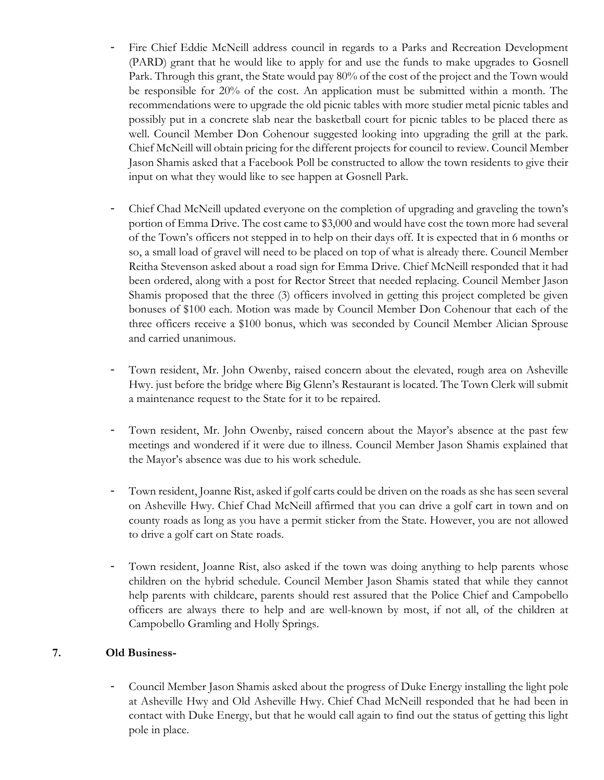- Fire Chief Eddie McNeill address council in regards to a Parks and Recreation Development (PARD) grant that he would like to apply for and use the funds to make upgrades to Gosnell Park. Through this grant, the State would pay 80% of the cost of the project and the Town would be responsible for 20% of the cost. An application must be submitted within a month. The recommendations were to upgrade the old picnic tables with more studier metal picnic tables and possibly put in a concrete slab near the basketball court for picnic tables to be placed there as well. Council Member Don Cohenour suggested looking into upgrading the grill at the park. Chief McNeill will obtain pricing for the different projects for council to review. Council Member Jason Shamis asked that a Facebook Poll be constructed to allow the town residents to give their input on what they would like to see happen at Gosnell Park.
- Chief Chad McNeill updated everyone on the completion of upgrading and graveling the town's portion of Emma Drive. The cost came to \$3,000 and would have cost the town more had several of the Town's officers not stepped in to help on their days off. It is expected that in 6 months or so, a small load of gravel will need to be placed on top of what is already there. Council Member Reitha Stevenson asked about a road sign for Emma Drive. Chief McNeill responded that it had been ordered, along with a post for Rector Street that needed replacing. Council Member Jason Shamis proposed that the three (3) officers involved in getting this project completed be given bonuses of \$100 each. Motion was made by Council Member Don Cohenour that each of the three officers receive a \$100 bonus, which was seconded by Council Member Alician Sprouse and carried unanimous.
- Town resident, Mr. John Owenby, raised concern about the elevated, rough area on Asheville Hwy. just before the bridge where Big Glenn's Restaurant is located. The Town Clerk will submit a maintenance request to the State for it to be repaired.
- Town resident, Mr. John Owenby, raised concern about the Mayor's absence at the past few meetings and wondered if it were due to illness. Council Member Jason Shamis explained that the Mayor's absence was due to his work schedule.
- Town resident, Joanne Rist, asked if golf carts could be driven on the roads as she has seen several on Asheville Hwy. Chief Chad McNeill affirmed that you can drive a golf cart in town and on county roads as long as you have a permit sticker from the State. However, you are not allowed to drive a golf cart on State roads.
- Town resident, Joanne Rist, also asked if the town was doing anything to help parents whose children on the hybrid schedule. Council Member Jason Shamis stated that while they cannot help parents with childcare, parents should rest assured that the Police Chief and Campobello officers are always there to help and are well-known by most, if not all, of the children at Campobello Gramling and Holly Springs.

### **7. Old Business-**

- Council Member Jason Shamis asked about the progress of Duke Energy installing the light pole at Asheville Hwy and Old Asheville Hwy. Chief Chad McNeill responded that he had been in contact with Duke Energy, but that he would call again to find out the status of getting this light pole in place.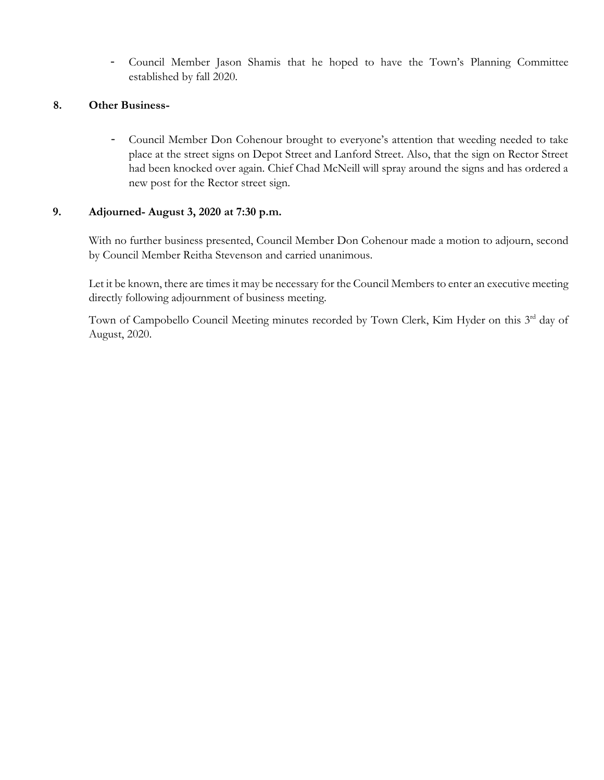- Council Member Jason Shamis that he hoped to have the Town's Planning Committee established by fall 2020.

### **8. Other Business-**

- Council Member Don Cohenour brought to everyone's attention that weeding needed to take place at the street signs on Depot Street and Lanford Street. Also, that the sign on Rector Street had been knocked over again. Chief Chad McNeill will spray around the signs and has ordered a new post for the Rector street sign.

#### **9. Adjourned- August 3, 2020 at 7:30 p.m.**

With no further business presented, Council Member Don Cohenour made a motion to adjourn, second by Council Member Reitha Stevenson and carried unanimous.

 Let it be known, there are times it may be necessary for the Council Members to enter an executive meeting directly following adjournment of business meeting.

Town of Campobello Council Meeting minutes recorded by Town Clerk, Kim Hyder on this 3<sup>rd</sup> day of August, 2020.